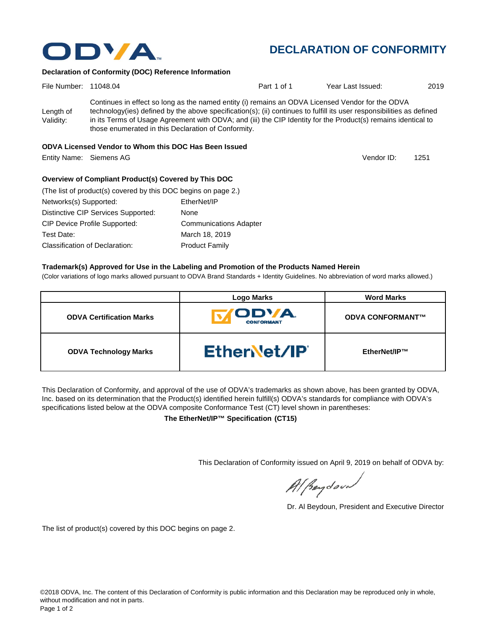

The list of product(s) covered by this DOC begins on page 2.

This Declaration of Conformity issued on April 9, 2019 on behalf of ODVA by:

Al Beydoor

Dr. Al Beydoun, President and Executive Director

| File Number: 11048.04 |                                                                                                                                                                      | Part 1 of 1 | Year Last Issued: | 2019 |
|-----------------------|----------------------------------------------------------------------------------------------------------------------------------------------------------------------|-------------|-------------------|------|
|                       | Continues in effect so long as the named entity (i) remains an ODVA Licensed Vendor for the ODVA                                                                     |             |                   |      |
| Length of             | technology(ies) defined by the above specification(s); (ii) continues to fulfill its user responsibilities as defined                                                |             |                   |      |
| Validity:             | in its Terms of Usage Agreement with ODVA; and (iii) the CIP Identity for the Product(s) remains identical to<br>those enumerated in this Declaration of Conformity. |             |                   |      |

## **ODVA Licensed Vendor to Whom this DOC Has Been Issued**

Entity Name: Siemens AG 1251

## **Overview of Compliant Product(s) Covered by This DOC**

| (The list of product(s) covered by this DOC begins on page 2.) |                               |
|----------------------------------------------------------------|-------------------------------|
| Networks(s) Supported:                                         | EtherNet/IP                   |
| Distinctive CIP Services Supported:                            | None                          |
| CIP Device Profile Supported:                                  | <b>Communications Adapter</b> |
| Test Date:                                                     | March 18, 2019                |
| <b>Classification of Declaration:</b>                          | <b>Product Family</b>         |

## **Trademark(s) Approved for Use in the Labeling and Promotion of the Products Named Herein**

(Color variations of logo marks allowed pursuant to ODVA Brand Standards + Identity Guidelines. No abbreviation of word marks allowed.)

|                                 | <b>Logo Marks</b>          | <b>Word Marks</b>       |
|---------------------------------|----------------------------|-------------------------|
| <b>ODVA Certification Marks</b> | ODVA.<br><b>CONFORMANT</b> | <b>ODVA CONFORMANT™</b> |
| <b>ODVA Technology Marks</b>    | EtherNet/IP                | EtherNet/IP™            |

This Declaration of Conformity, and approval of the use of ODVA's trademarks as shown above, has been granted by ODVA, Inc. based on its determination that the Product(s) identified herein fulfill(s) ODVA's standards for compliance with ODVA's specifications listed below at the ODVA composite Conformance Test (CT) level shown in parentheses:

**The EtherNet/IP™ Specification (CT15)**

# **DECLARATION OF CONFORMITY**

ODVA.

**Declaration of Conformity (DOC) Reference Information**

Vendor ID: